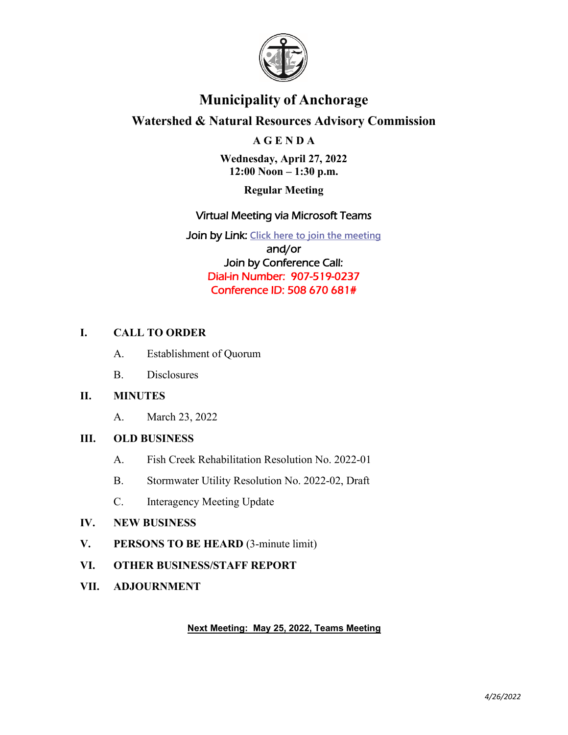

# **Municipality of Anchorage**

# **Watershed & Natural Resources Advisory Commission**

#### **A G E N D A**

**Wednesday, April 27, 2022 12:00 Noon – 1:30 p.m.**

**Regular Meeting**

#### Virtual Meeting via Microsoft Teams

Join by Link: **[Click here to join the meeting](https://teams.microsoft.com/l/meetup-join/19%3ameeting_NjI5NTFjNjctY2U2Zi00ZjI0LWI5OGUtNzMzMzBmZmNjMTQ3%40thread.v2/0?context=%7b%22Tid%22%3a%22127a78cb-19c5-46ca-b11f-87c33c49a907%22%2c%22Oid%22%3a%222b6df393-8e5d-48b2-8b5c-1008bd551dce%22%7d)** and/or Join by Conference Call: Dial-in Number: 907-519-0237 Conference ID: 508 670 681#

#### **I. CALL TO ORDER**

- A. Establishment of Quorum
- B. Disclosures

#### **II. MINUTES**

A. March 23, 2022

#### **III. OLD BUSINESS**

- A. Fish Creek Rehabilitation Resolution No. 2022-01
- B. Stormwater Utility Resolution No. 2022-02, Draft
- C. Interagency Meeting Update

#### **IV. NEW BUSINESS**

- **V. PERSONS TO BE HEARD** (3-minute limit)
- **VI. OTHER BUSINESS/STAFF REPORT**
- **VII. ADJOURNMENT**

#### **Next Meeting: May 25, 2022, Teams Meeting**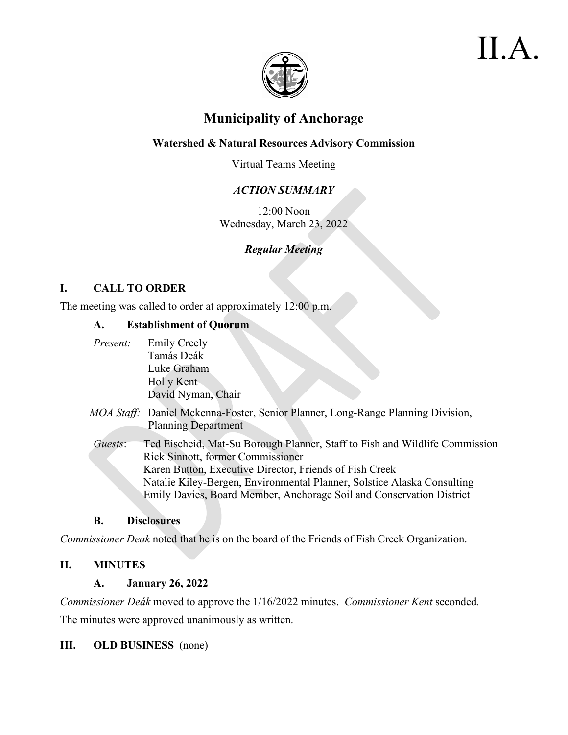

# II.A.

# **Municipality of Anchorage**

### **Watershed & Natural Resources Advisory Commission**

Virtual Teams Meeting

# *ACTION SUMMARY*

12:00 Noon Wednesday, March 23, 2022

# *Regular Meeting*

#### **I. CALL TO ORDER**

The meeting was called to order at approximately 12:00 p.m.

#### **A. Establishment of Quorum**

| Present: | <b>Emily Creely</b>                                                             |
|----------|---------------------------------------------------------------------------------|
|          | Tamás Deák                                                                      |
|          | Luke Graham                                                                     |
|          | Holly Kent                                                                      |
|          | David Nyman, Chair                                                              |
|          |                                                                                 |
|          | MOA Staff: Daniel Mckenna-Foster, Senior Planner, Long-Range Planning Division, |
|          | <b>Planning Department</b>                                                      |
|          |                                                                                 |
| Guests:  | Ted Eischeid, Mat-Su Borough Planner, Staff to Fish and Wildlife Commission     |
|          | Rick Sinnott, former Commissioner                                               |
|          | Karen Button, Executive Director, Friends of Fish Creek                         |
|          | Natalie Kiley-Bergen, Environmental Planner, Solstice Alaska Consulting         |
|          | Emily Davies, Board Member, Anchorage Soil and Conservation District            |

#### **B. Disclosures**

*Commissioner Deak* noted that he is on the board of the Friends of Fish Creek Organization.

# **II. MINUTES**

#### **A. January 26, 2022**

*Commissioner Deák* moved to approve the 1/16/2022 minutes. *Commissioner Kent* seconded*.*  The minutes were approved unanimously as written.

#### **III. OLD BUSINESS** (none)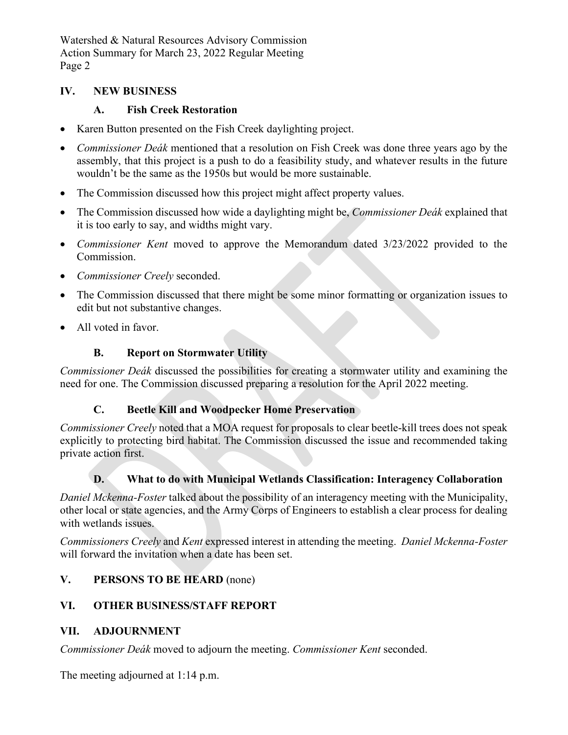Watershed & Natural Resources Advisory Commission Action Summary for March 23, 2022 Regular Meeting Page 2

#### **IV. NEW BUSINESS**

#### **A. Fish Creek Restoration**

- Karen Button presented on the Fish Creek daylighting project.
- *Commissioner Deák* mentioned that a resolution on Fish Creek was done three years ago by the assembly, that this project is a push to do a feasibility study, and whatever results in the future wouldn't be the same as the 1950s but would be more sustainable.
- The Commission discussed how this project might affect property values.
- The Commission discussed how wide a daylighting might be, *Commissioner Deák* explained that it is too early to say, and widths might vary.
- *Commissioner Kent* moved to approve the Memorandum dated 3/23/2022 provided to the Commission.
- *Commissioner Creely* seconded.
- The Commission discussed that there might be some minor formatting or organization issues to edit but not substantive changes.
- All voted in favor.

#### **B. Report on Stormwater Utility**

*Commissioner Deák* discussed the possibilities for creating a stormwater utility and examining the need for one. The Commission discussed preparing a resolution for the April 2022 meeting.

#### **C. Beetle Kill and Woodpecker Home Preservation**

*Commissioner Creely* noted that a MOA request for proposals to clear beetle-kill trees does not speak explicitly to protecting bird habitat. The Commission discussed the issue and recommended taking private action first.

#### **D. What to do with Municipal Wetlands Classification: Interagency Collaboration**

*Daniel Mckenna-Foster* talked about the possibility of an interagency meeting with the Municipality, other local or state agencies, and the Army Corps of Engineers to establish a clear process for dealing with wetlands issues.

*Commissioners Creely* and *Kent* expressed interest in attending the meeting. *Daniel Mckenna-Foster* will forward the invitation when a date has been set.

#### **V. PERSONS TO BE HEARD** (none)

#### **VI. OTHER BUSINESS/STAFF REPORT**

#### **VII. ADJOURNMENT**

*Commissioner Deák* moved to adjourn the meeting. *Commissioner Kent* seconded.

The meeting adjourned at 1:14 p.m.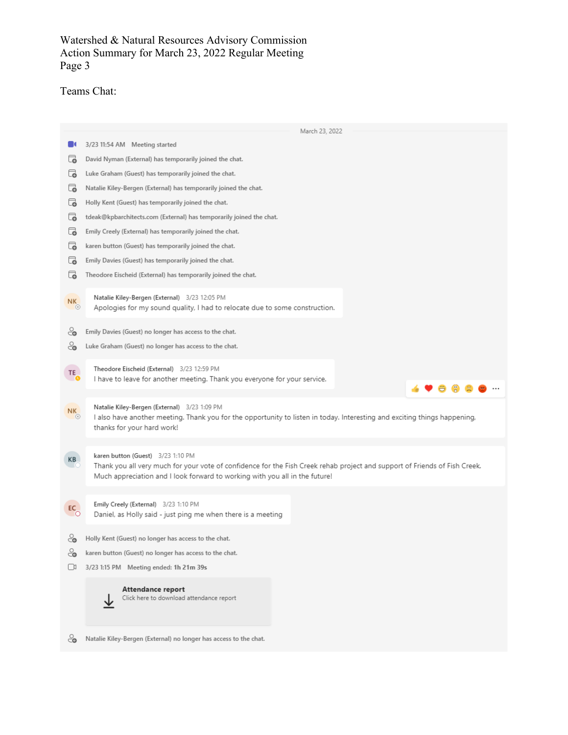#### Watershed & Natural Resources Advisory Commission Action Summary for March 23, 2022 Regular Meeting Page 3

# Teams Chat:

|               | March 23, 2022                                                                                                                                                                                            |
|---------------|-----------------------------------------------------------------------------------------------------------------------------------------------------------------------------------------------------------|
|               | 3/23 11:54 AM Meeting started                                                                                                                                                                             |
| ಡ             | David Nyman (External) has temporarily joined the chat.                                                                                                                                                   |
| ಡ             | Luke Graham (Guest) has temporarily joined the chat.                                                                                                                                                      |
| ಡ             | Natalie Kiley-Bergen (External) has temporarily joined the chat.                                                                                                                                          |
| ಡ             | Holly Kent (Guest) has temporarily joined the chat.                                                                                                                                                       |
| ಡ             | tdeak@kpbarchitects.com (External) has temporarily joined the chat.                                                                                                                                       |
| ි             | Emily Creely (External) has temporarily joined the chat.                                                                                                                                                  |
| ಡ             | karen button (Guest) has temporarily joined the chat.                                                                                                                                                     |
| ි             | Emily Davies (Guest) has temporarily joined the chat.                                                                                                                                                     |
| ಡ             | Theodore Eischeid (External) has temporarily joined the chat.                                                                                                                                             |
|               | Natalie Kiley-Bergen (External) 3/23 12:05 PM                                                                                                                                                             |
| NK<br>$\circ$ | Apologies for my sound quality, I had to relocate due to some construction.                                                                                                                               |
|               |                                                                                                                                                                                                           |
| ೊ             | Emily Davies (Guest) no longer has access to the chat.                                                                                                                                                    |
| ೊ             | Luke Graham (Guest) no longer has access to the chat.                                                                                                                                                     |
| TE_           | Theodore Eischeid (External) 3/23 12:59 PM                                                                                                                                                                |
|               | I have to leave for another meeting. Thank you everyone for your service.                                                                                                                                 |
|               |                                                                                                                                                                                                           |
| NK<br>$\circ$ | Natalie Kiley-Bergen (External) 3/23 1:09 PM<br>I also have another meeting. Thank you for the opportunity to listen in today. Interesting and exciting things happening,                                 |
|               | thanks for your hard work!                                                                                                                                                                                |
|               |                                                                                                                                                                                                           |
| KB            | karen button (Guest) 3/23 1:10 PM                                                                                                                                                                         |
|               | Thank you all very much for your vote of confidence for the Fish Creek rehab project and support of Friends of Fish Creek.<br>Much appreciation and I look forward to working with you all in the future! |
|               |                                                                                                                                                                                                           |
| EC_           | Emily Creely (External) 3/23 1:10 PM                                                                                                                                                                      |
|               | Daniel, as Holly said - just ping me when there is a meeting                                                                                                                                              |
|               | - Holly Kent (Guest) no longer has access to the chat.                                                                                                                                                    |
| ೊ             | karen button (Guest) no longer has access to the chat.                                                                                                                                                    |
| U             | 3/23 1:15 PM Meeting ended: 1h 21m 39s                                                                                                                                                                    |
|               |                                                                                                                                                                                                           |
|               | Attendance report<br>Click here to download attendance report                                                                                                                                             |
|               |                                                                                                                                                                                                           |
|               |                                                                                                                                                                                                           |
| Č٥            | Natalie Kiley-Bergen (External) no longer has access to the chat.                                                                                                                                         |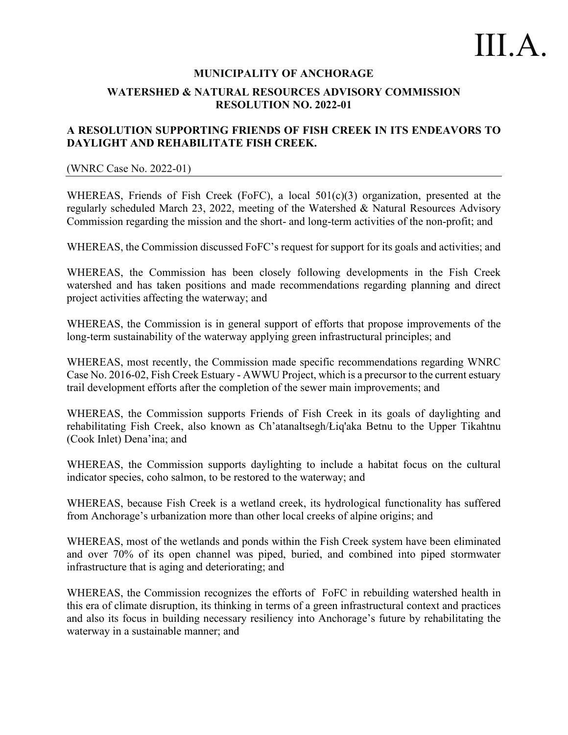#### **MUNICIPALITY OF ANCHORAGE WATERSHED & NATURAL RESOURCES ADVISORY COMMISSION RESOLUTION NO. 2022-01**

#### **A RESOLUTION SUPPORTING FRIENDS OF FISH CREEK IN ITS ENDEAVORS TO DAYLIGHT AND REHABILITATE FISH CREEK.**

#### (WNRC Case No. 2022-01)

WHEREAS, Friends of Fish Creek (FoFC), a local 501(c)(3) organization, presented at the regularly scheduled March 23, 2022, meeting of the Watershed & Natural Resources Advisory Commission regarding the mission and the short- and long-term activities of the non-profit; and

WHEREAS, the Commission discussed FoFC's request for support for its goals and activities; and

WHEREAS, the Commission has been closely following developments in the Fish Creek watershed and has taken positions and made recommendations regarding planning and direct project activities affecting the waterway; and

WHEREAS, the Commission is in general support of efforts that propose improvements of the long-term sustainability of the waterway applying green infrastructural principles; and

WHEREAS, most recently, the Commission made specific recommendations regarding WNRC Case No. 2016-02, Fish Creek Estuary - AWWU Project, which is a precursor to the current estuary trail development efforts after the completion of the sewer main improvements; and

WHEREAS, the Commission supports Friends of Fish Creek in its goals of daylighting and rehabilitating Fish Creek, also known as Ch'atanaltsegh/Łiq'aka Betnu to the Upper Tikahtnu (Cook Inlet) Dena'ina; and

WHEREAS, the Commission supports daylighting to include a habitat focus on the cultural indicator species, coho salmon, to be restored to the waterway; and

WHEREAS, because Fish Creek is a wetland creek, its hydrological functionality has suffered from Anchorage's urbanization more than other local creeks of alpine origins; and

WHEREAS, most of the wetlands and ponds within the Fish Creek system have been eliminated and over 70% of its open channel was piped, buried, and combined into piped stormwater infrastructure that is aging and deteriorating; and

WHEREAS, the Commission recognizes the efforts of FoFC in rebuilding watershed health in this era of climate disruption, its thinking in terms of a green infrastructural context and practices and also its focus in building necessary resiliency into Anchorage's future by rehabilitating the waterway in a sustainable manner; and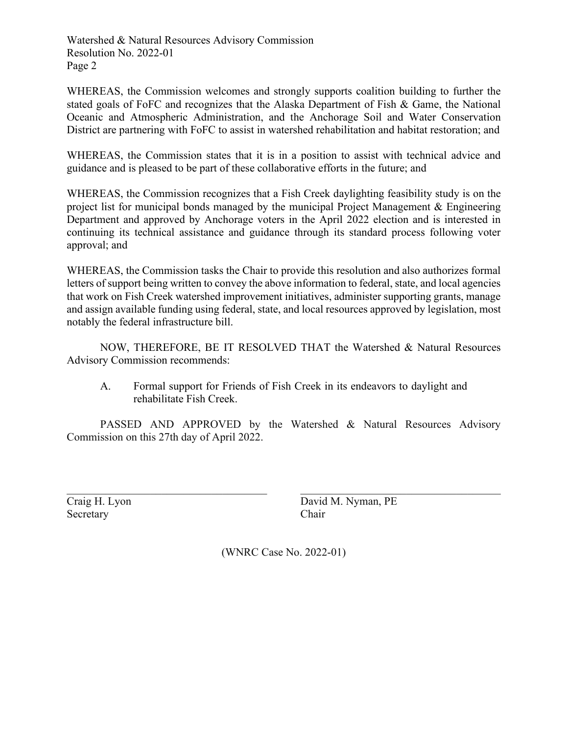Watershed & Natural Resources Advisory Commission Resolution No. 2022-01 Page 2

WHEREAS, the Commission welcomes and strongly supports coalition building to further the stated goals of FoFC and recognizes that the Alaska Department of Fish & Game, the National Oceanic and Atmospheric Administration, and the Anchorage Soil and Water Conservation District are partnering with FoFC to assist in watershed rehabilitation and habitat restoration; and

WHEREAS, the Commission states that it is in a position to assist with technical advice and guidance and is pleased to be part of these collaborative efforts in the future; and

WHEREAS, the Commission recognizes that a Fish Creek daylighting feasibility study is on the project list for municipal bonds managed by the municipal Project Management & Engineering Department and approved by Anchorage voters in the April 2022 election and is interested in continuing its technical assistance and guidance through its standard process following voter approval; and

WHEREAS, the Commission tasks the Chair to provide this resolution and also authorizes formal letters of support being written to convey the above information to federal, state, and local agencies that work on Fish Creek watershed improvement initiatives, administer supporting grants, manage and assign available funding using federal, state, and local resources approved by legislation, most notably the federal infrastructure bill.

NOW, THEREFORE, BE IT RESOLVED THAT the Watershed & Natural Resources Advisory Commission recommends:

A. Formal support for Friends of Fish Creek in its endeavors to daylight and rehabilitate Fish Creek.

PASSED AND APPROVED by the Watershed & Natural Resources Advisory Commission on this 27th day of April 2022.

Secretary Chair

 $\_$  , and the set of the set of the set of the set of the set of the set of the set of the set of the set of the set of the set of the set of the set of the set of the set of the set of the set of the set of the set of th Craig H. Lyon David M. Nyman, PE

(WNRC Case No. 2022-01)